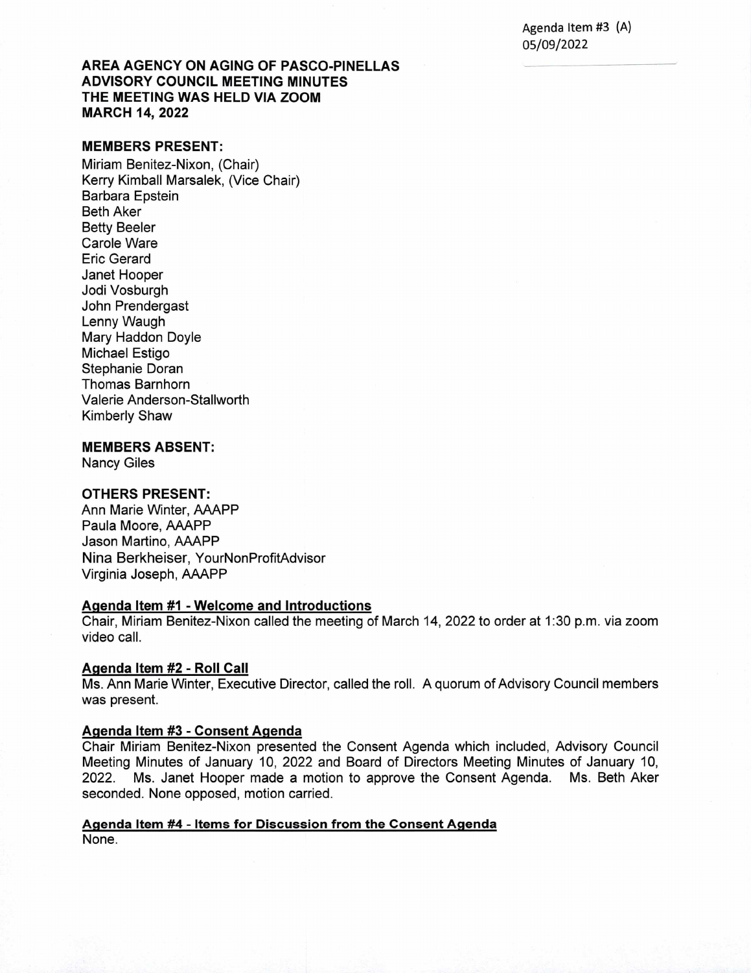Agenda Item #3 (A) 05/09/2022

# **AREA AGENCY ON AGING OF PASCO-PINELLAS ADVISORY COUNCIL MEETING MINUTES THE MEETING WAS HELD VIA ZOOM MARCH 14, 2022**

## **MEMBERS PRESENT:**

Miriam Benitez-Nixon, (Chair) Kerry Kimball Marsalek, (Vice Chair) Barbara Epstein Beth Aker Betty Beeler Carole Ware Eric Gerard Janet Hooper Jodi Vosburgh John Prendergast Lenny Waugh Mary Haddon Doyle Michael Estigo Stephanie Doran Thomas Barnhorn Valerie Anderson-Stallworth Kimberly Shaw

#### **MEMBERS ABSENT:**

Nancy Giles

## **OTHERS PRESENT:**

Ann Marie Winter, AAAPP Paula Moore, AAAPP Jason Martino, AAAPP Nina Berkheiser, YourNonProfitAdvisor Virginia Joseph, AAAPP

#### **Aqenda Item #1 - Welcome and Introductions**

Chair, Miriam Benitez-Nixon called the meeting of March 14, 2022 to order at 1:30 p.m. via zoom video call.

### **Agenda Item #2 - Roll Call**

Ms. Ann Marie Winter, Executive Director, called the roll. A quorum of Advisory Council members was present.

#### **Agenda Item #3 - Consent Agenda**

Chair Miriam Benitez-Nixon presented the Consent Agenda which included, Advisory Council Meeting Minutes of January 10, 2022 and Board of Directors Meeting Minutes of January 10, 2022. Ms. Janet Hooper made a motion to approve the Consent Agenda. Ms. Beth Aker seconded. None opposed, motion carried.

#### **Agenda Item #4 - Items for Discussion from the Consent Agenda**

None.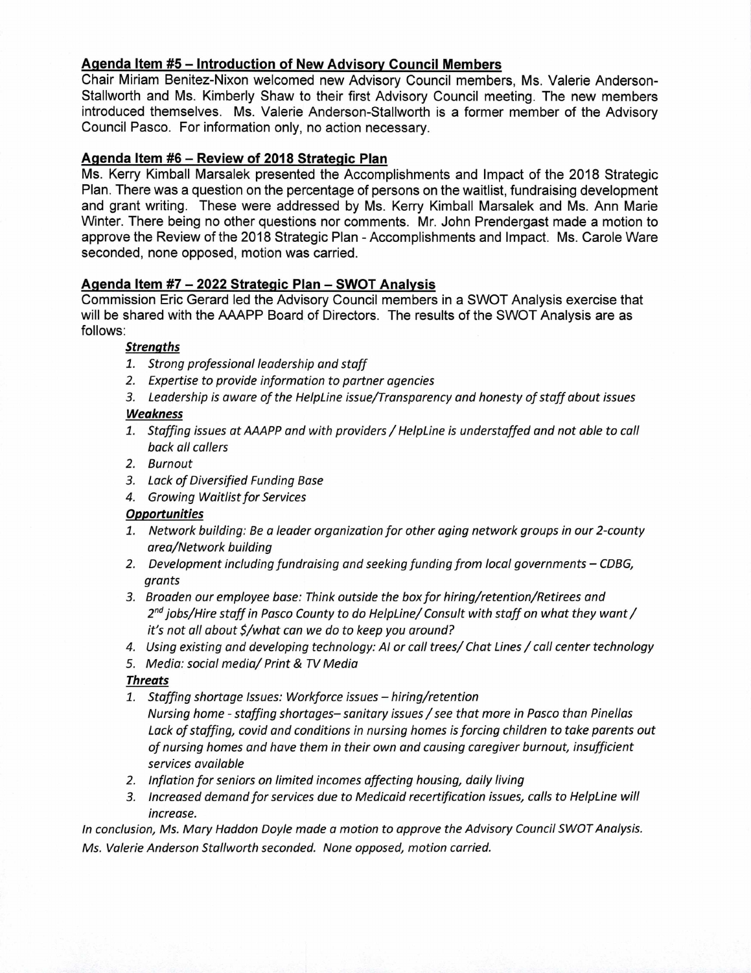# **Agenda Item #5— Introduction of New Advisory Council Members**

Chair Miriam Benitez-Nixon welcomed new Advisory Council members, Ms. Valerie Anderson-Stallworth and Ms. Kimberly Shaw to their first Advisory Council meeting. The new members introduced themselves. Ms. Valerie Anderson-Stallworth is a former member of the Advisory Council Pasco. For information only, no action necessary.

# **Agenda Item #6— Review of 2018 Strategic Plan**

Ms. Kerry Kimball Marsalek presented the Accomplishments and Impact of the 2018 Strategic Plan. There was a question on the percentage of persons on the waitlist, fundraising development and grant writing. These were addressed by Ms. Kerry Kimball Marsalek and Ms. Ann Marie Winter. There being no other questions nor comments. Mr. John Prendergast made a motion to approve the Review of the 2018 Strategic Plan - Accomplishments and Impact. Ms. Carole Ware seconded, none opposed, motion was carried.

# **Agenda Item #7-2022 Strategic Plan — SWOT Analysis**

Commission Eric Gerard led the Advisory Council members in a SWOT Analysis exercise that will be shared with the AAAPP Board of Directors. The results of the SWOT Analysis are as follows:

## **Strenqths**

- 1. Strong professional leadership and staff
- 2. Expertise to provide information to partner agencies
- 3. Leadership is aware of the HelpLine issue/Transparency and honesty of staff about issues

## **Weakness**

- 1. Staffing issues at AAAPP and with providers / HelpLine is understaffed and not able to call back all callers
- 2. Burnout
- 3. Lack of Diversified Funding Base
- 4. Growing Waitlist for Services

# **Opportunities**

- 1. Network building: Be a leader organization for other aging network groups in our 2-county area/Network building
- 2. Development including fundraising and seeking funding from local governments CDBG, grants
- 3. Broaden our employee base: Think outside the box for hiring/retention/Retirees and  $2<sup>nd</sup>$  jobs/Hire staff in Pasco County to do HelpLine/ Consult with staff on what they want / it's not all about \$/what can we do to keep you around?
- 4. Using existing and developing technology: Al or call trees/ Chat Lines / call center technology
- 5. Media: social media/ Print & TV Media

## **Threats**

- 1. Staffing shortage Issues: Workforce issues hiring/retention Nursing home - staffing shortages—sanitary issues/see that more in Pasco than Pinellas Lack of staffing, covid and conditions in nursing homes is forcing children to take parents out of nursing homes and have them in their own and causing care giver burnout, insufficient services available
- 2. Inflation for seniors on limited incomes affecting housing, daily living
- 3. Increased demand for services due to Medicaid recertification issues, calls to HelpLine will increase.

In conclusion, Ms. Mary Haddon Doyle made a motion to approve the Advisory Council SWOT Analysis. Ms. Valerie Anderson Stallworth seconded. None opposed, motion carried.